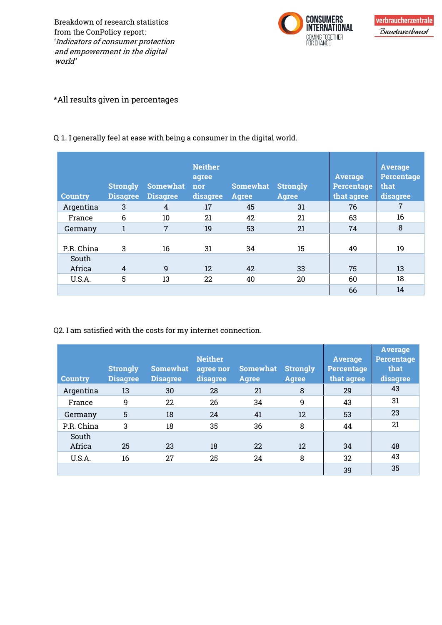Breakdown of research statistics from the ConPolicy report: 'Indicators of consumer protection and empowerment in the digital world'



## \*All results given in percentages

| <b>Country</b> | <b>Strongly</b><br><b>Disagree</b> | <b>Somewhat</b><br><b>Disagree</b> | <b>Neither</b><br>agree<br>nor<br>disagree | <b>Somewhat</b><br>Agree | <b>Strongly</b><br><b>Agree</b> | <b>Average</b><br><b>Percentage</b><br>that agree | <b>Average</b><br><b>Percentage</b><br>that<br>disagree |
|----------------|------------------------------------|------------------------------------|--------------------------------------------|--------------------------|---------------------------------|---------------------------------------------------|---------------------------------------------------------|
| Argentina      | 3                                  | 4                                  | 17                                         | 45                       | 31                              | 76                                                | 7                                                       |
| France         | $6\phantom{1}6$                    | 10                                 | 21                                         | 42                       | 21                              | 63                                                | 16                                                      |
| Germany        | $\mathbf{1}$                       | $\overline{7}$                     | 19                                         | 53                       | 21                              | 74                                                | 8                                                       |
| P.R. China     | 3                                  | 16                                 | 31                                         | 34                       | 15                              | 49                                                | 19                                                      |
| South          |                                    |                                    |                                            |                          |                                 |                                                   |                                                         |
| Africa         | 4                                  | 9                                  | 12                                         | 42                       | 33                              | 75                                                | 13                                                      |
| U.S.A.         | 5                                  | 13                                 | 22                                         | 40                       | 20                              | 60                                                | 18                                                      |
|                |                                    |                                    |                                            |                          |                                 | 66                                                | 14                                                      |

Q 1. I generally feel at ease with being a consumer in the digital world.

Q2. I am satisfied with the costs for my internet connection.

| <b>Country</b> | <b>Strongly</b><br><b>Disagree</b> | <b>Somewhat</b><br><b>Disagree</b> | <b>Neither</b><br>agree nor<br>disagree | <b>Somewhat</b><br><b>Agree</b> | <b>Strongly</b><br><b>Agree</b> | <b>Average</b><br><b>Percentage</b><br>that agree | <b>Average</b><br><b>Percentage</b><br>that<br>disagree |
|----------------|------------------------------------|------------------------------------|-----------------------------------------|---------------------------------|---------------------------------|---------------------------------------------------|---------------------------------------------------------|
| Argentina      | 13                                 | 30                                 | 28                                      | 21                              | 8                               | 29                                                | 43                                                      |
| France         | 9                                  | 22                                 | 26                                      | 34                              | 9                               | 43                                                | 31                                                      |
| Germany        | 5                                  | 18                                 | 24                                      | 41                              | 12                              | 53                                                | 23                                                      |
| P.R. China     | 3                                  | 18                                 | 35                                      | 36                              | 8                               | 44                                                | 21                                                      |
| South          |                                    |                                    |                                         |                                 |                                 |                                                   |                                                         |
| Africa         | 25                                 | 23                                 | 18                                      | 22                              | 12                              | 34                                                | 48                                                      |
| U.S.A.         | 16                                 | 27                                 | 25                                      | 24                              | 8                               | 32                                                | 43                                                      |
|                |                                    |                                    |                                         |                                 |                                 | 39                                                | 35                                                      |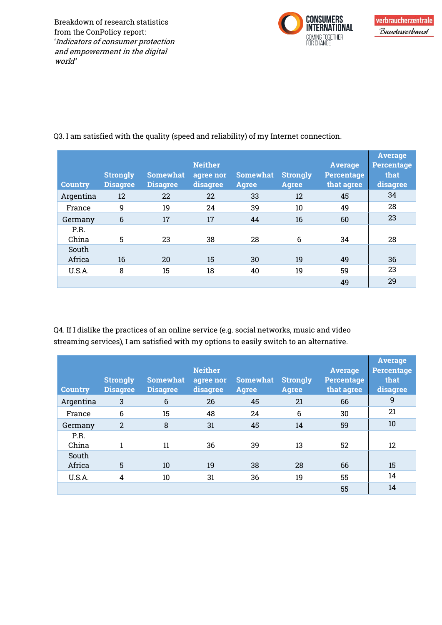

| <b>Country</b> | <b>Strongly</b><br><b>Disagree</b> | <b>Somewhat</b><br><b>Disagree</b> | <b>Neither</b><br>agree nor<br>disagree | <b>Somewhat</b><br><b>Agree</b> | <b>Strongly</b><br><b>Agree</b> | <b>Average</b><br><b>Percentage</b><br>that agree | <b>Average</b><br><b>Percentage</b><br>that<br>disagree |
|----------------|------------------------------------|------------------------------------|-----------------------------------------|---------------------------------|---------------------------------|---------------------------------------------------|---------------------------------------------------------|
| Argentina      | 12                                 | 22                                 | 22                                      | 33                              | 12                              | 45                                                | 34                                                      |
| France         | 9                                  | 19                                 | 24                                      | 39                              | 10                              | 49                                                | 28                                                      |
| Germany        | $6\phantom{1}6$                    | 17                                 | 17                                      | 44                              | 16                              | 60                                                | 23                                                      |
| P.R.<br>China  | 5                                  | 23                                 | 38                                      | 28                              | 6                               | 34                                                | 28                                                      |
| South          |                                    |                                    |                                         |                                 |                                 |                                                   |                                                         |
| Africa         | 16                                 | 20                                 | 15                                      | 30                              | 19                              | 49                                                | 36                                                      |
| U.S.A.         | 8                                  | 15                                 | 18                                      | 40                              | 19                              | 59                                                | 23                                                      |
|                |                                    |                                    |                                         |                                 |                                 | 49                                                | 29                                                      |

Q3. I am satisfied with the quality (speed and reliability) of my Internet connection.

Q4. If I dislike the practices of an online service (e.g. social networks, music and video streaming services), I am satisfied with my options to easily switch to an alternative.

| <b>Country</b>  | <b>Strongly</b><br><b>Disagree</b> | <b>Somewhat</b><br><b>Disagree</b> | <b>Neither</b><br>agree nor<br>disagree | <b>Somewhat</b><br><b>Agree</b> | <b>Strongly</b><br>Agree | <b>Average</b><br><b>Percentage</b><br>that agree | <b>Average</b><br><b>Percentage</b><br>that<br>disagree |
|-----------------|------------------------------------|------------------------------------|-----------------------------------------|---------------------------------|--------------------------|---------------------------------------------------|---------------------------------------------------------|
| Argentina       | 3                                  | 6                                  | 26                                      | 45                              | 21                       | 66                                                | 9                                                       |
| France          | 6                                  | 15                                 | 48                                      | 24                              | 6                        | 30                                                | 21                                                      |
| Germany         | $\overline{2}$                     | 8                                  | 31                                      | 45                              | 14                       | 59                                                | 10                                                      |
| P.R.<br>China   | 1                                  | 11                                 | 36                                      | 39                              | 13                       | 52                                                | 12                                                      |
| South<br>Africa | 5                                  | 10                                 | 19                                      | 38                              | 28                       | 66                                                | 15                                                      |
| U.S.A.          | $\overline{4}$                     | 10                                 | 31                                      | 36                              | 19                       | 55                                                | 14                                                      |
|                 |                                    |                                    |                                         |                                 |                          | 55                                                | 14                                                      |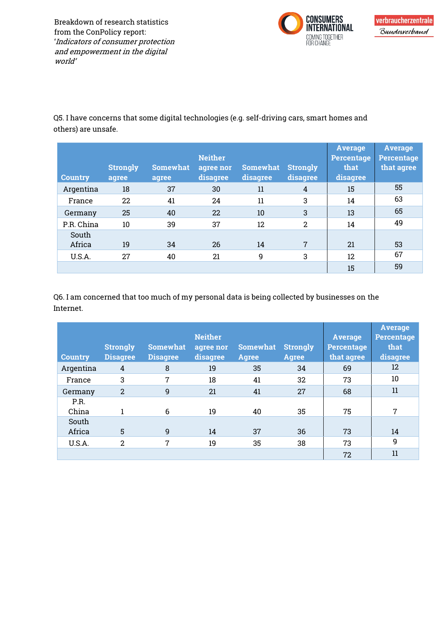Breakdown of research statistics from the ConPolicy report: 'Indicators of consumer protection and empowerment in the digital world'



Q5. I have concerns that some digital technologies (e.g. self-driving cars, smart homes and others) are unsafe.

| <b>Country</b>  | <b>Strongly</b><br>agree | <b>Somewhat</b><br>agree | <b>Neither</b><br>agree nor<br>disagree | <b>Somewhat</b><br>disagree | <b>Strongly</b><br>disagree | <b>Average</b><br>Percentage<br>that<br>disagree | <b>Average</b><br><b>Percentage</b><br>that agree |
|-----------------|--------------------------|--------------------------|-----------------------------------------|-----------------------------|-----------------------------|--------------------------------------------------|---------------------------------------------------|
| Argentina       | 18                       | 37                       | 30                                      | 11                          | 4                           | 15                                               | 55                                                |
| France          | 22                       | 41                       | 24                                      | 11                          | 3                           | 14                                               | 63                                                |
| Germany         | 25                       | 40                       | 22                                      | 10                          | 3                           | 13                                               | 65                                                |
| P.R. China      | 10                       | 39                       | 37                                      | 12                          | 2                           | 14                                               | 49                                                |
| South<br>Africa | 19                       | 34                       | 26                                      | 14                          | 7                           | 21                                               | 53                                                |
| U.S.A.          | 27                       | 40                       | 21                                      | 9                           | 3                           | 12                                               | 67                                                |
|                 |                          |                          |                                         |                             |                             | 15                                               | 59                                                |

Q6. I am concerned that too much of my personal data is being collected by businesses on the Internet.

| <b>Country</b> | <b>Strongly</b><br><b>Disagree</b> | <b>Somewhat</b><br><b>Disagree</b> | <b>Neither</b><br>agree nor<br>disagree | <b>Somewhat</b><br><b>Agree</b> | <b>Strongly</b><br>Agree | <b>Average</b><br>Percentage<br>that agree | <b>Average</b><br><b>Percentage</b><br>that<br>disagree |
|----------------|------------------------------------|------------------------------------|-----------------------------------------|---------------------------------|--------------------------|--------------------------------------------|---------------------------------------------------------|
| Argentina      | 4                                  | 8                                  | 19                                      | 35                              | 34                       | 69                                         | 12                                                      |
| France         | 3                                  | 7                                  | 18                                      | 41                              | 32                       | 73                                         | 10                                                      |
| Germany        | $\overline{2}$                     | $\overline{9}$                     | 21                                      | 41                              | 27                       | 68                                         | 11                                                      |
| P.R.<br>China  |                                    | 6                                  | 19                                      | 40                              | 35                       | 75                                         | $\overline{7}$                                          |
| South          |                                    |                                    |                                         |                                 |                          |                                            |                                                         |
| Africa         | 5                                  | 9                                  | 14                                      | 37                              | 36                       | 73                                         | 14                                                      |
| U.S.A.         | $\overline{2}$                     | 7                                  | 19                                      | 35                              | 38                       | 73                                         | 9                                                       |
|                |                                    |                                    |                                         |                                 |                          | 72                                         | 11                                                      |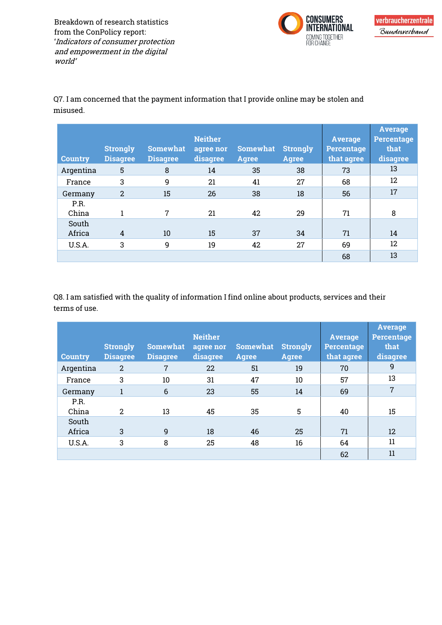Breakdown of research statistics from the ConPolicy report: 'Indicators of consumer protection and empowerment in the digital world'



Q7. I am concerned that the payment information that I provide online may be stolen and misused.

| <b>Country</b> | <b>Strongly</b><br><b>Disagree</b> | <b>Somewhat</b><br><b>Disagree</b> | <b>Neither</b><br>agree nor<br>disagree | <b>Somewhat</b><br><b>Agree</b> | <b>Strongly</b><br><b>Agree</b> | <b>Average</b><br>Percentage<br>that agree | <b>Average</b><br><b>Percentage</b><br>that<br>disagree |
|----------------|------------------------------------|------------------------------------|-----------------------------------------|---------------------------------|---------------------------------|--------------------------------------------|---------------------------------------------------------|
| Argentina      | 5                                  | 8                                  | 14                                      | 35                              | 38                              | 73                                         | 13                                                      |
| France         | 3                                  | 9                                  | 21                                      | 41                              | 27                              | 68                                         | 12                                                      |
| Germany        | $\overline{2}$                     | 15                                 | 26                                      | 38                              | 18                              | 56                                         | 17                                                      |
| P.R.<br>China  |                                    | 7                                  | 21                                      | 42                              | 29                              | 71                                         | 8                                                       |
| South          |                                    |                                    |                                         |                                 |                                 |                                            |                                                         |
| Africa         | 4                                  | 10                                 | 15                                      | 37                              | 34                              | 71                                         | 14                                                      |
| U.S.A.         | 3                                  | 9                                  | 19                                      | 42                              | 27                              | 69                                         | 12                                                      |
|                |                                    |                                    |                                         |                                 |                                 | 68                                         | 13                                                      |

Q8. I am satisfied with the quality of information I find online about products, services and their terms of use.

| <b>Country</b>  | <b>Strongly</b><br><b>Disagree</b> | <b>Somewhat</b><br><b>Disagree</b> | <b>Neither</b><br>agree nor<br>disagree | <b>Somewhat</b><br><b>Agree</b> | <b>Strongly</b><br><b>Agree</b> | <b>Average</b><br><b>Percentage</b><br>that agree | <b>Average</b><br><b>Percentage</b><br>that<br>disagree |
|-----------------|------------------------------------|------------------------------------|-----------------------------------------|---------------------------------|---------------------------------|---------------------------------------------------|---------------------------------------------------------|
| Argentina       | 2                                  | 7                                  | 22                                      | 51                              | 19                              | 70                                                | 9                                                       |
| France          | 3                                  | 10                                 | 31                                      | 47                              | 10                              | 57                                                | 13                                                      |
| Germany         |                                    | $6\phantom{1}6$                    | 23                                      | 55                              | 14                              | 69                                                | 7                                                       |
| P.R.<br>China   | 2                                  | 13                                 | 45                                      | 35                              | 5                               | 40                                                | 15                                                      |
| South<br>Africa | 3                                  | 9                                  | 18                                      | 46                              | 25                              | 71                                                | 12                                                      |
| U.S.A.          | 3                                  | 8                                  | 25                                      | 48                              | 16                              | 64                                                | 11                                                      |
|                 |                                    |                                    |                                         |                                 |                                 | 62                                                | 11                                                      |